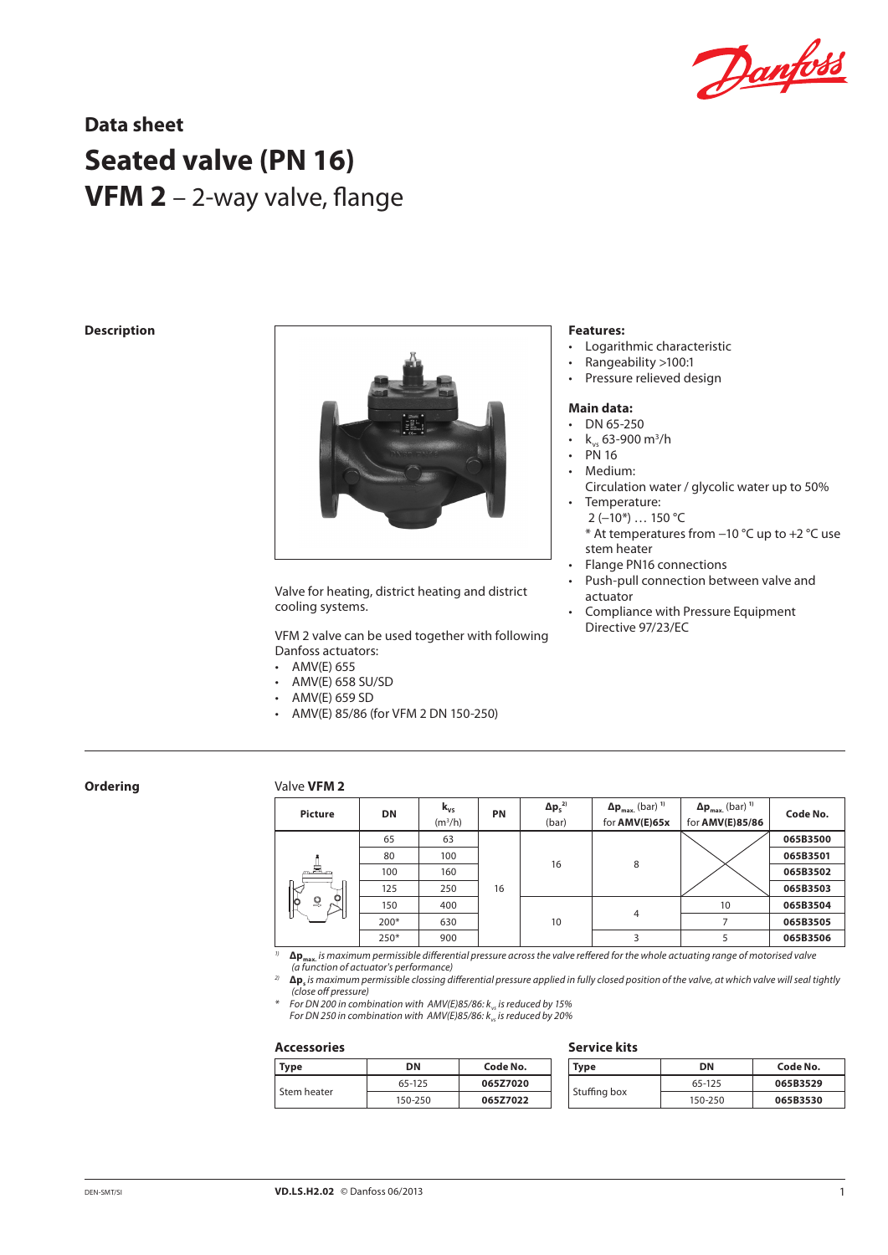

# **Data sheet Seated valve (PN 16) VFM 2** – 2-way valve, flange

# **Description**



Valve for heating, district heating and district cooling systems.

VFM 2 valve can be used together with following Danfoss actuators:

- • AMV(E) 655
- • AMV(E) 658 SU/SD
- • AMV(E) 659 SD
- • AMV(E) 85/86 (for VFM 2 DN 150-250)

### **Features:**

- Logarithmic characteristic
- Rangeability >100:1
- Pressure relieved design

### **Main data:**

- DN 65-250
- $k_{vs}$  63-900 m<sup>3</sup>/h
- **PN 16**
- Medium:
- Circulation water / glycolic water up to 50% Temperature:
- 2 (−10\*) … 150 °C
- \* At temperatures from −10 °C up to +2 °C use stem heater
- Flange PN16 connections
- • Push-pull connection between valve and actuator
- • Compliance with Pressure Equipment Directive 97/23/EC

|  | Orderin |  |
|--|---------|--|
|  |         |  |

### Valve **VFM 2**

| <b>Picture</b>                | DN     | $k_{vs}$<br>(m <sup>3</sup> /h) | PN | $\Delta p_s^{2)}$<br>(bar) | $\Delta p_{max}$ (bar) <sup>1)</sup><br>for AMV(E)65x | $\Delta p_{max.}$ (bar) <sup>1)</sup><br>for AMV(E)85/86 | Code No. |          |
|-------------------------------|--------|---------------------------------|----|----------------------------|-------------------------------------------------------|----------------------------------------------------------|----------|----------|
| ನಿ<br>$\mathbf{Q}$<br>ló<br>U | 65     | 63                              |    | 16                         |                                                       |                                                          | 065B3500 |          |
|                               | 80     | 100                             |    |                            | 8                                                     |                                                          | 065B3501 |          |
|                               | 100    | 160                             |    |                            |                                                       |                                                          | 065B3502 |          |
|                               | 125    | 250                             | 16 |                            |                                                       |                                                          | 065B3503 |          |
|                               | 150    | 400                             |    | 10                         |                                                       | 10                                                       | 065B3504 |          |
|                               | 200*   | 630                             |    |                            |                                                       | $\overline{4}$                                           |          | 065B3505 |
|                               | $250*$ | 900                             |    |                            |                                                       |                                                          | 065B3506 |          |

<sup>*1)*</sup> **Δp<sub>max.</sub>** *is maximum permissible differential pressure across the valve reffered for the whole actuating range of motorised valve (a function of actuator's performance)* 

*2)* **Δps** *is maximum permissible clossing differential pressure applied in fully closed position of the valve, at which valve will seal tightly (close off pressure)*

*For DN 200 in combination with AMV(E)85/86:*  $k_{\nu s}$  *is reduced by 15% For DN 250 in combination with AMV(E)85/86: k<sub>vs</sub> is reduced by 20%* 

### **Accessories**

| <b>Type</b> | DΝ      | Code No. |  |  |
|-------------|---------|----------|--|--|
|             | 65-125  | 065Z7020 |  |  |
| Stem heater | 150-250 | 065Z7022 |  |  |

### **Service kits**

| Tvpe         | DΝ      | Code No. |  |  |
|--------------|---------|----------|--|--|
|              | 65-125  | 065B3529 |  |  |
| Stuffing box | 150-250 | 065B3530 |  |  |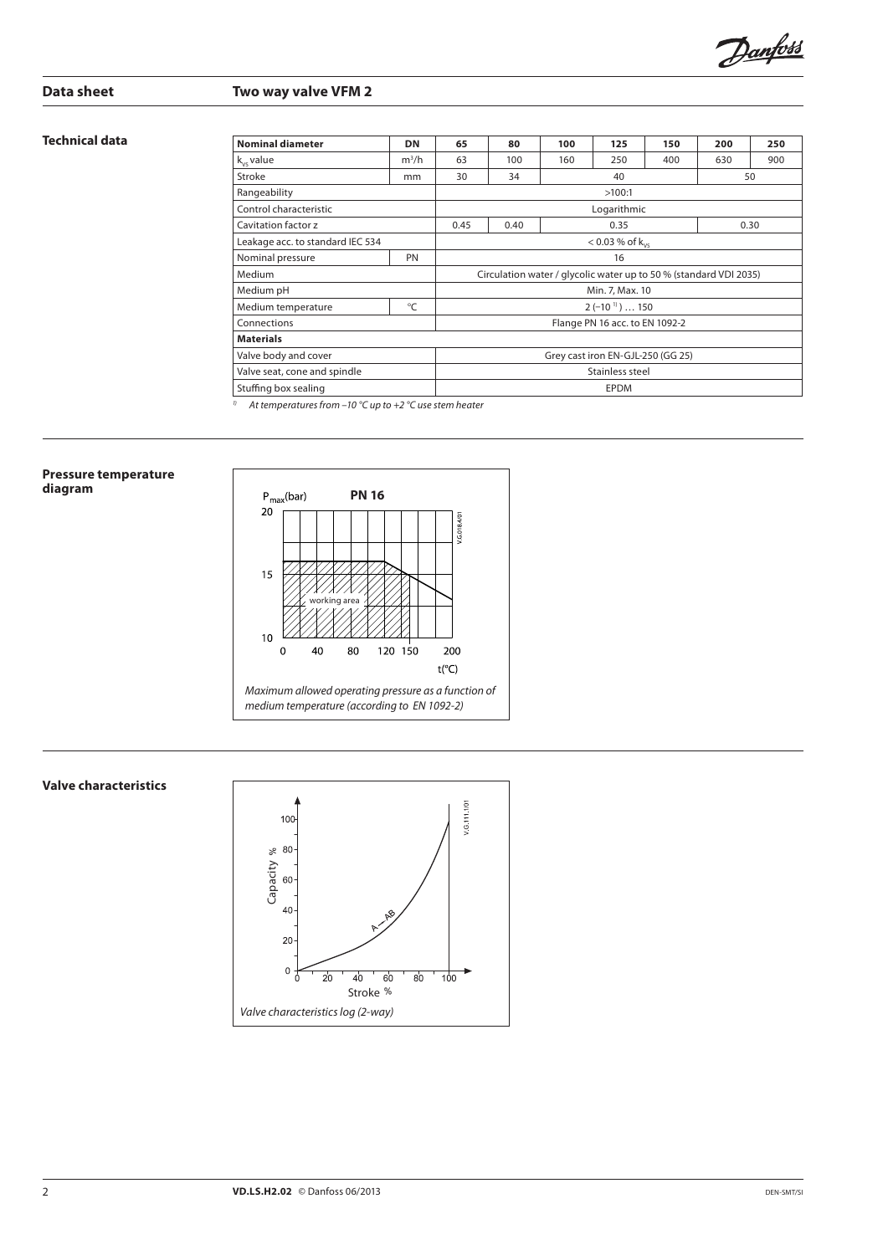

| Technical data | <b>Nominal diameter</b>          | <b>DN</b>                         | 65                                                                | 80   | 100          | 125 | 150 | 200 | 250 |
|----------------|----------------------------------|-----------------------------------|-------------------------------------------------------------------|------|--------------|-----|-----|-----|-----|
|                | $k_{vs}$ value                   | $m^3/h$                           | 63                                                                | 100  | 160          | 250 | 400 | 630 | 900 |
|                | Stroke<br>30<br>34<br>40<br>mm   |                                   |                                                                   |      |              | 50  |     |     |     |
|                | Rangeability                     | >100:1                            |                                                                   |      |              |     |     |     |     |
|                | Control characteristic           | Logarithmic                       |                                                                   |      |              |     |     |     |     |
|                | Cavitation factor z<br>0.45      |                                   |                                                                   | 0.40 | 0.30<br>0.35 |     |     |     |     |
|                | Leakage acc. to standard IEC 534 | $< 0.03 \%$ of $k_{vc}$           |                                                                   |      |              |     |     |     |     |
|                | Nominal pressure                 | PN                                | 16                                                                |      |              |     |     |     |     |
|                | Medium                           |                                   | Circulation water / glycolic water up to 50 % (standard VDI 2035) |      |              |     |     |     |     |
|                | Medium pH                        | Min. 7, Max. 10                   |                                                                   |      |              |     |     |     |     |
|                | Medium temperature               | $^{\circ}$ C                      | $2(-10)$ 150                                                      |      |              |     |     |     |     |
|                | Connections                      | Flange PN 16 acc. to EN 1092-2    |                                                                   |      |              |     |     |     |     |
|                | <b>Materials</b>                 |                                   |                                                                   |      |              |     |     |     |     |
|                | Valve body and cover             | Grey cast iron EN-GJL-250 (GG 25) |                                                                   |      |              |     |     |     |     |
|                | Valve seat, cone and spindle     | Stainless steel                   |                                                                   |      |              |     |     |     |     |
|                | Stuffing box sealing             | <b>EPDM</b>                       |                                                                   |      |              |     |     |     |     |

*1) At temperatures from –10 °C up to +2 °C use stem heater*

# **Pressure temperature diagram**



# **Valve characteristics**

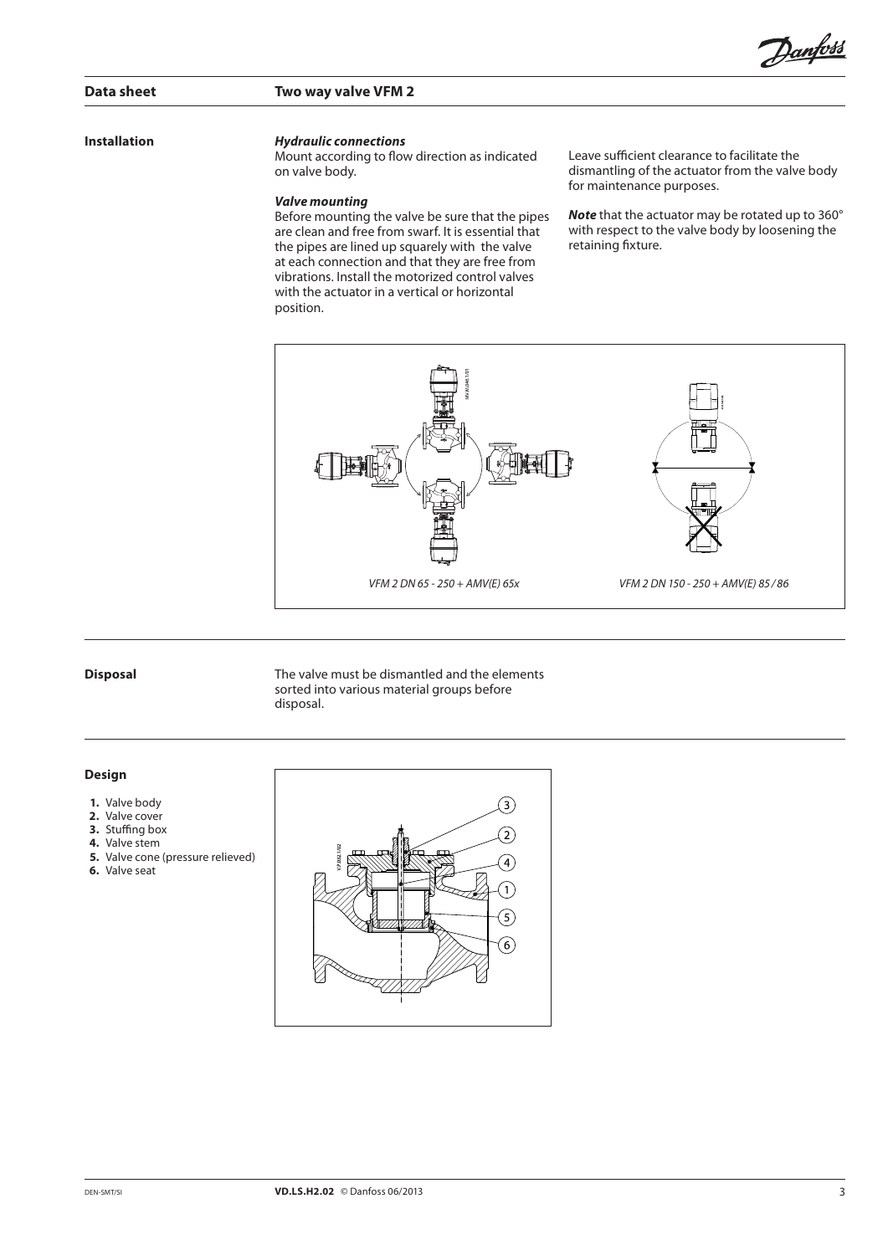)anfoss

# **Installation** *Hydraulic connections*

Mount according to flow direction as indicated on valve body.

### *Valve mounting*

Before mounting the valve be sure that the pipes are clean and free from swarf. It is essential that the pipes are lined up squarely with the valve at each connection and that they are free from vibrations. Install the motorized control valves with the actuator in a vertical or horizontal position.

Leave sufficient clearance to facilitate the dismantling of the actuator from the valve body for maintenance purposes.

*Note* that the actuator may be rotated up to 360° with respect to the valve body by loosening the retaining fixture.



**Disposal** The valve must be dismantled and the elements sorted into various material groups before disposal.

# **Design**

- **1.** Valve body
- **2.** Valve cover
- **3.** Stuffing box
- **4.** Valve stem
- **5.** Valve cone (pressure relieved)
- **6.** Valve seat

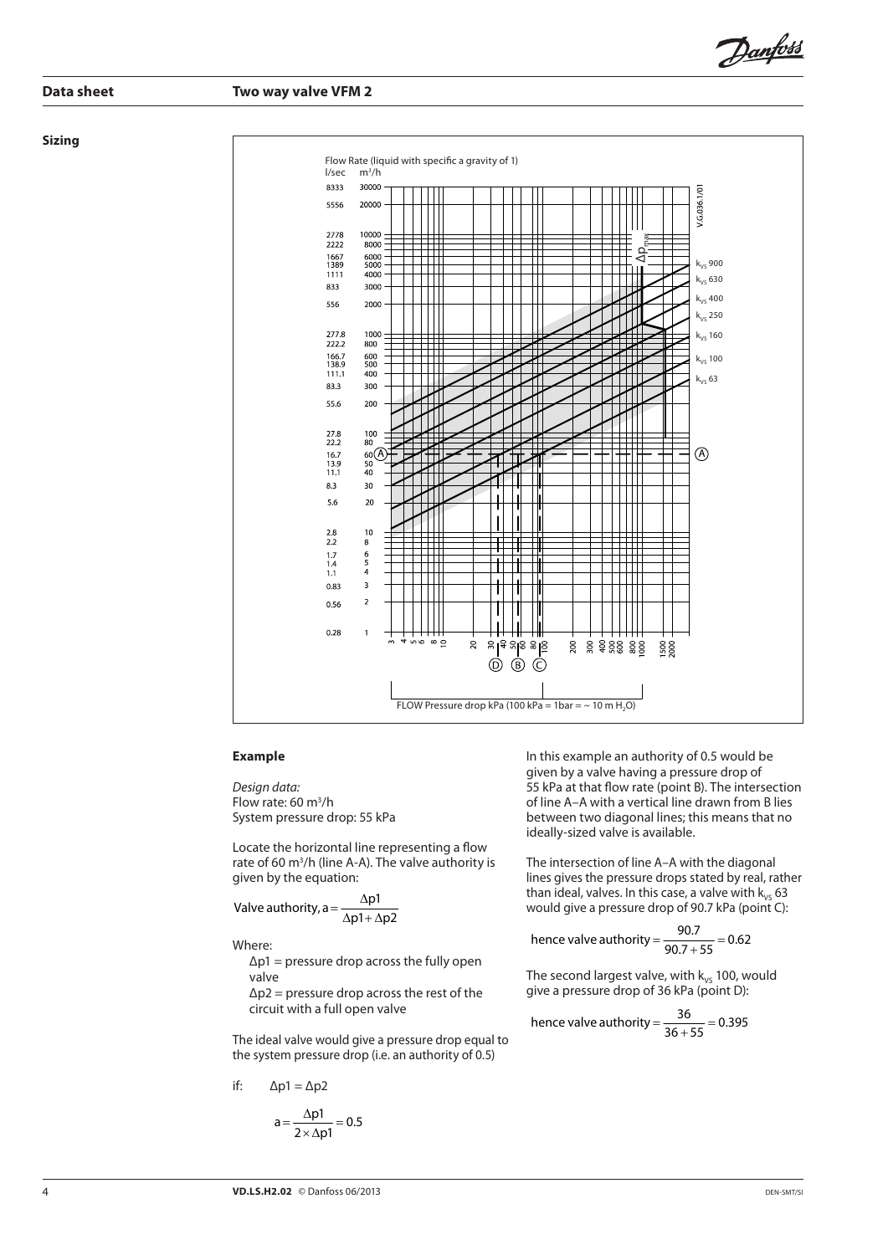

### **Sizing**



### **Example**

*Design data:* Flow rate: 60 m<sup>3</sup>/h System pressure drop: 55 kPa

Locate the horizontal line representing a flow rate of 60 m<sup>3</sup>/h (line A-A). The valve authority is given by the equation:

Value authority, 
$$
a = \frac{\Delta p1}{\Delta p1 + \Delta p2}
$$

Where:

- Δp1 = pressure drop across the fully open valve
- Δp2 = pressure drop across the rest of the circuit with a full open valve

The ideal valve would give a pressure drop equal to the system pressure drop (i.e. an authority of 0.5)

if:  $\Delta p1 = \Delta p2$ 

$$
a\!=\!\frac{\Delta p1}{2\!\times\!\Delta p1}\!=\!0.5
$$

In this example an authority of 0.5 would be given by a valve having a pressure drop of 55 kPa at that flow rate (point B). The intersection of line A–A with a vertical line drawn from B lies between two diagonal lines; this means that no ideally-sized valve is available.

Danfoss

The intersection of line A–A with the diagonal lines gives the pressure drops stated by real, rather than ideal, valves. In this case, a valve with  $k_{vs}$  63 would give a pressure drop of 90.7 kPa (point C):

hence value authority = 
$$
\frac{90.7}{90.7 + 55} = 0.62
$$

The second largest valve, with  $k_{vs}$  100, would give a pressure drop of 36 kPa (point D):

hence value authority = 
$$
\frac{36}{36+55} = 0.395
$$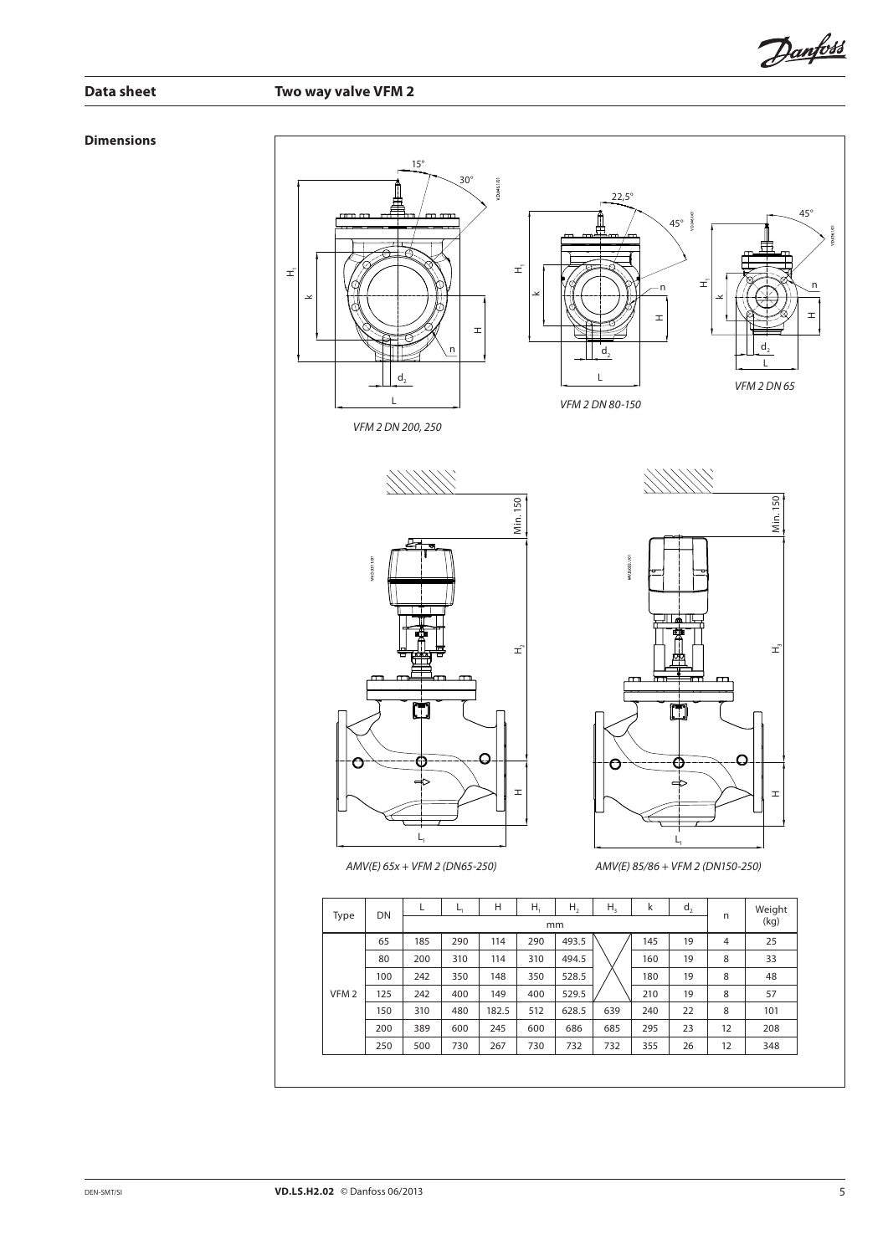Danfoss

# **Dimensions**

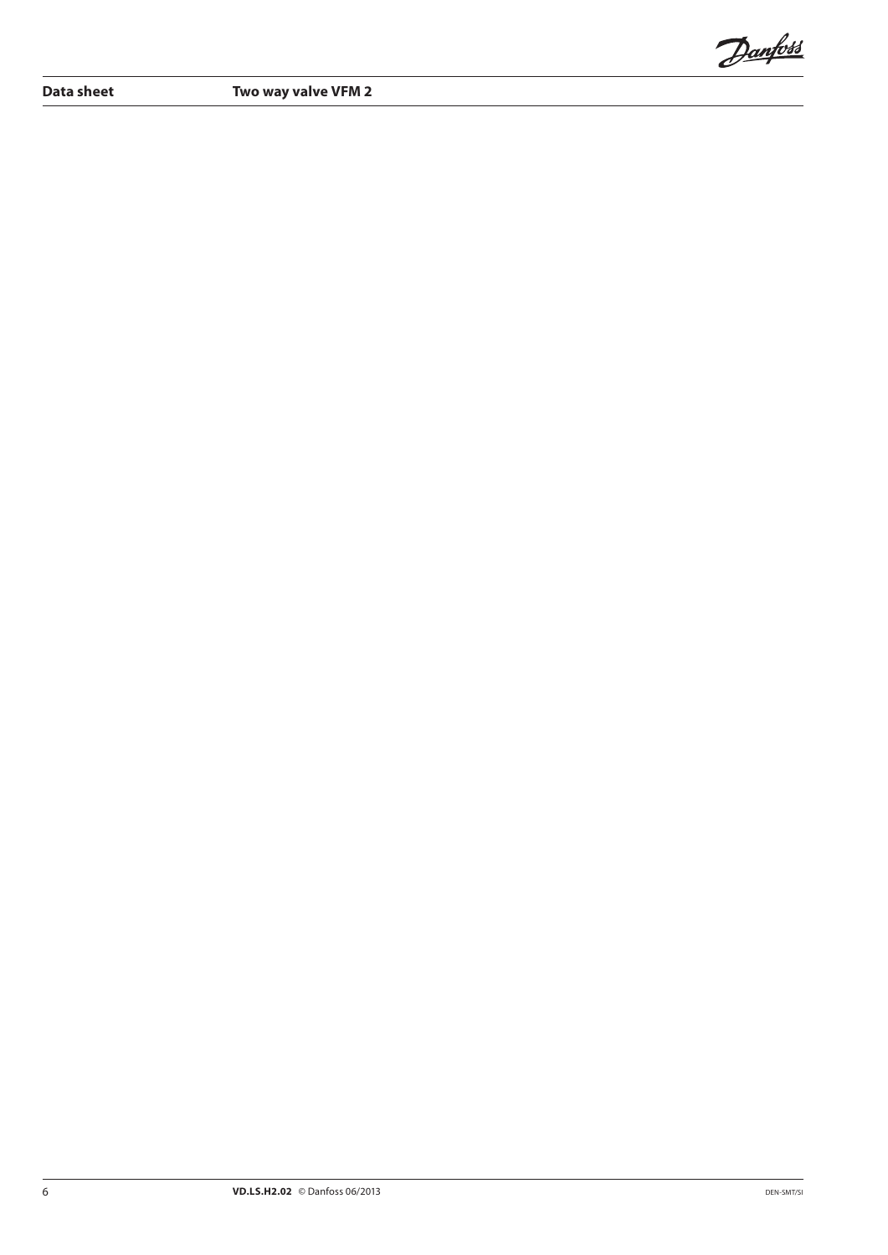

Danfoss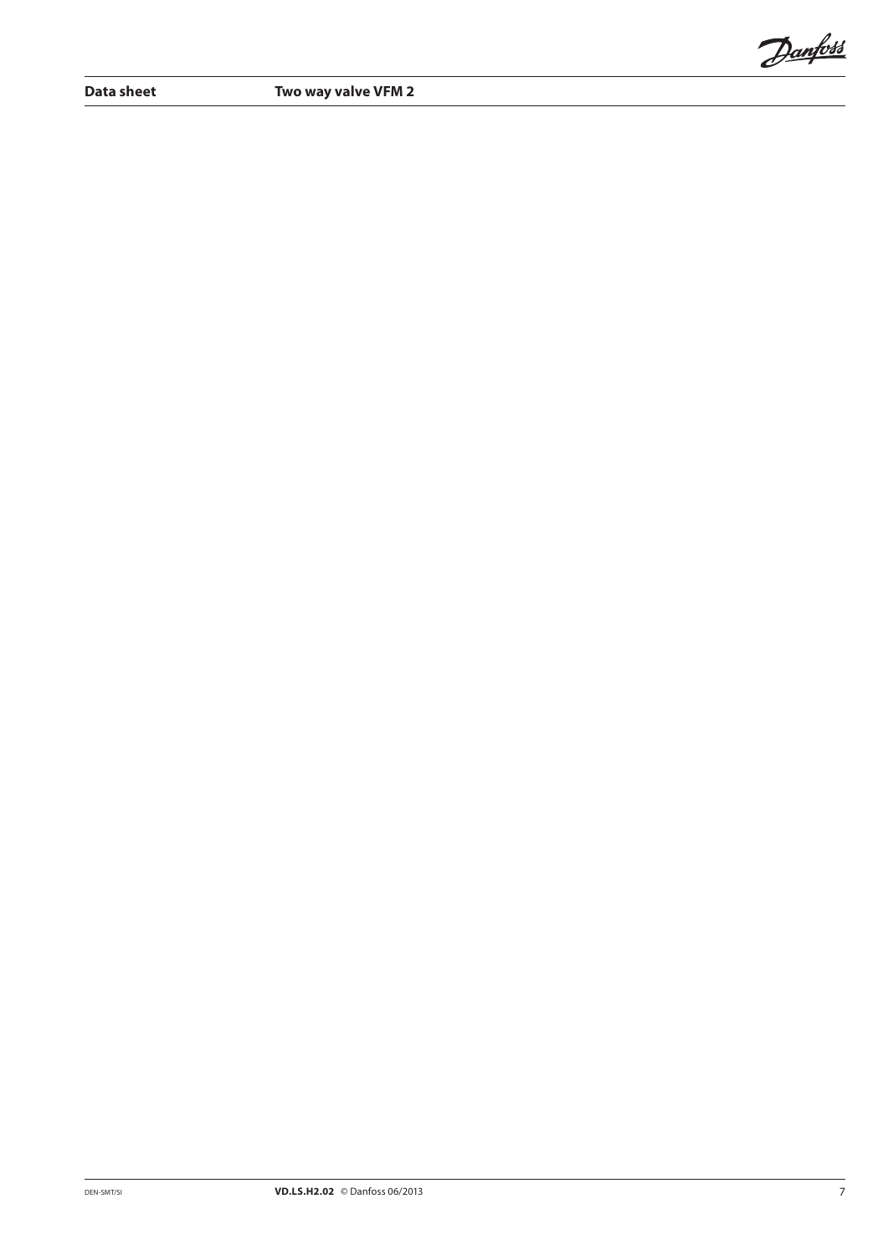Danfoss